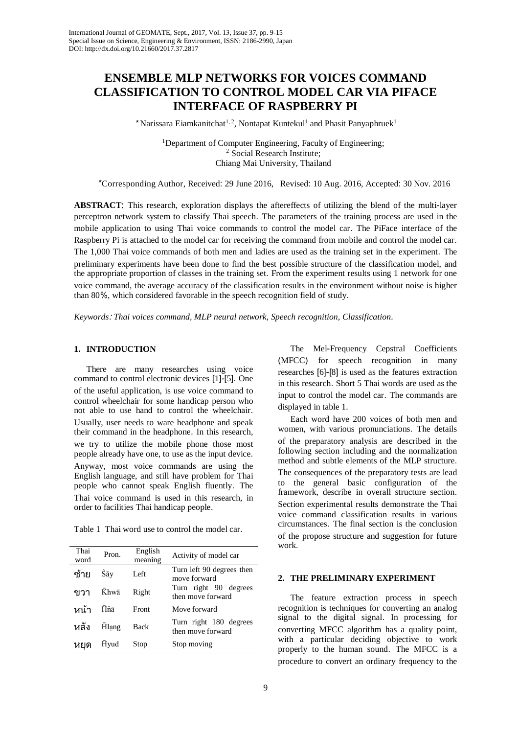# **ENSEMBLE MLP NETWORKS FOR VOICES COMMAND CLASSIFICATION TO CONTROL MODEL CAR VIA PIFACE INTERFACE OF RASPBERRY PI**

\*Narissara Eiamkanitchat<sup>1,2</sup>, Nontapat Kuntekul<sup>1</sup> and Phasit Panyaphruek<sup>1</sup>

<sup>1</sup>Department of Computer Engineering, Faculty of Engineering;<br><sup>2</sup> Social Research Institute; Chiang Mai University, Thailand

\*Corresponding Author, Received: 29 June 2016, Revised: 10 Aug. 2016, Accepted: 30 Nov. 2016

**ABSTRACT**: This research, exploration displays the aftereffects of utilizing the blend of the multi-layer perceptron network system to classify Thai speech. The parameters of the training process are used in the mobile application to using Thai voice commands to control the model car. The PiFace interface of the Raspberry Pi is attached to the model car for receiving the command from mobile and control the model car. The 1,000 Thai voice commands of both men and ladies are used as the training set in the experiment. The preliminary experiments have been done to find the best possible structure of the classification model, and the appropriate proportion of classes in the training set. From the experiment results using 1 network for one voice command, the average accuracy of the classification results in the environment without noise is higher than 80%, which considered favorable in the speech recognition field of study.

*Keywords*: *Thai voices command, MLP neural network, Speech recognition, Classification*.

## **1. INTRODUCTION**

There are many researches using voice command to control electronic devices [1]-[5]. One of the useful application, is use voice command to control wheelchair for some handicap person who not able to use hand to control the wheelchair. Usually, user needs to ware headphone and speak their command in the headphone. In this research, we try to utilize the mobile phone those most people already have one, to use as the input device. Anyway, most voice commands are using the English language, and still have problem for Thai people who cannot speak English fluently. The Thai voice command is used in this research, in order to facilities Thai handicap people.

Table 1 Thai word use to control the model car.

| Thai<br>word | Pron. | English<br>meaning | Activity of model car                       |
|--------------|-------|--------------------|---------------------------------------------|
| ฑ้าย         | Ŝāy   | Left               | Turn left 90 degrees then<br>move forward   |
| ขาา          | Khwā  | Right              | Turn right 90 degrees<br>then move forward  |
| หบ้า         | Hôā   | Front              | Move forward                                |
| หลัง         | Hlạng | <b>Back</b>        | Turn right 180 degrees<br>then move forward |
| หยด          | Hyud  | Stop               | Stop moving                                 |

The Mel-Frequency Cepstral Coefficients (MFCC) for speech recognition in many researches [6]-[8] is used as the features extraction in this research. Short 5 Thai words are used as the input to control the model car. The commands are displayed in table 1.

Each word have 200 voices of both men and women, with various pronunciations. The details of the preparatory analysis are described in the following section including and the normalization method and subtle elements of the MLP structure. The consequences of the preparatory tests are lead to the general basic configuration of the framework, describe in overall structure section. Section experimental results demonstrate the Thai voice command classification results in various circumstances. The final section is the conclusion of the propose structure and suggestion for future work.

#### **2. THE PRELIMINARY EXPERIMENT**

The feature extraction process in speech recognition is techniques for converting an analog signal to the digital signal. In processing for converting MFCC algorithm has a quality point, with a particular deciding objective to work properly to the human sound. The MFCC is a procedure to convert an ordinary frequency to the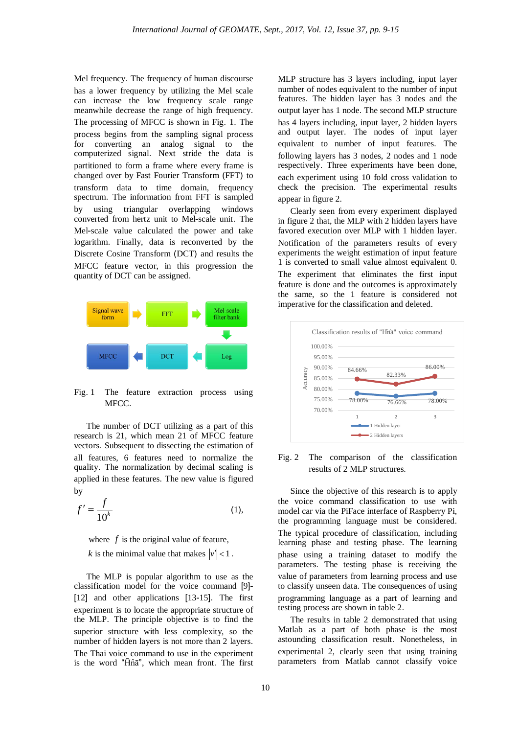Mel frequency. The frequency of human discourse has a lower frequency by utilizing the Mel scale can increase the low frequency scale range meanwhile decrease the range of high frequency. The processing of MFCC is shown in Fig. 1. The process begins from the sampling signal process for converting an analog signal to the computerized signal. Next stride the data is partitioned to form a frame where every frame is changed over by Fast Fourier Transform (FFT) to transform data to time domain, frequency spectrum. The information from FFT is sampled by using triangular overlapping windows converted from hertz unit to Mel-scale unit. The Mel-scale value calculated the power and take logarithm. Finally, data is reconverted by the Discrete Cosine Transform (DCT) and results the MFCC feature vector, in this progression the quantity of DCT can be assigned.



Fig. 1 The feature extraction process using MFCC.

The number of DCT utilizing as a part of this research is 21, which mean 21 of MFCC feature vectors. Subsequent to dissecting the estimation of all features, 6 features need to normalize the quality. The normalization by decimal scaling is applied in these features. The new value is figured by

$$
f' = \frac{f}{10^k} \tag{1}
$$

where *f* is the original value of feature, *k* is the minimal value that makes  $|v'| < 1$ .

The MLP is popular algorithm to use as the classification model for the voice command [9]- [12] and other applications [13-15]. The first experiment is to locate the appropriate structure of the MLP. The principle objective is to find the superior structure with less complexity, so the number of hidden layers is not more than 2 layers. The Thai voice command to use in the experiment is the word "H̄n̂ā", which mean front. The first

MLP structure has 3 layers including, input layer number of nodes equivalent to the number of input features. The hidden layer has 3 nodes and the output layer has 1 node. The second MLP structure has 4 layers including, input layer, 2 hidden layers and output layer. The nodes of input layer equivalent to number of input features. The following layers has 3 nodes, 2 nodes and 1 node respectively. Three experiments have been done, each experiment using 10 fold cross validation to check the precision. The experimental results appear in figure 2.

Clearly seen from every experiment displayed in figure 2 that, the MLP with 2 hidden layers have favored execution over MLP with 1 hidden layer. Notification of the parameters results of every experiments the weight estimation of input feature 1 is converted to small value almost equivalent 0. The experiment that eliminates the first input feature is done and the outcomes is approximately the same, so the 1 feature is considered not imperative for the classification and deleted.



Fig. 2 The comparison of the classification results of 2 MLP structures.

Since the objective of this research is to apply the voice command classification to use with model car via the PiFace interface of Raspberry Pi, the programming language must be considered. The typical procedure of classification, including learning phase and testing phase. The learning phase using a training dataset to modify the parameters. The testing phase is receiving the value of parameters from learning process and use to classify unseen data. The consequences of using programming language as a part of learning and testing process are shown in table 2.

The results in table 2 demonstrated that using Matlab as a part of both phase is the most astounding classification result. Nonetheless, in experimental 2, clearly seen that using training parameters from Matlab cannot classify voice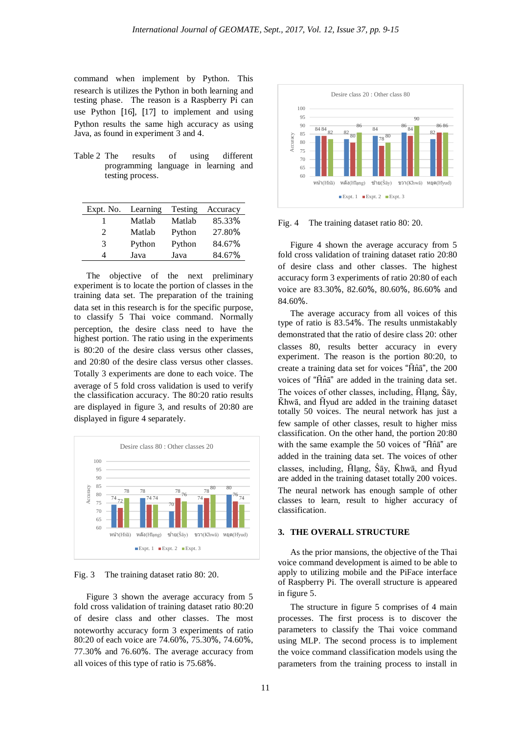command when implement by Python. This research is utilizes the Python in both learning and testing phase. The reason is a Raspberry Pi can use Python [16], [17] to implement and using Python results the same high accuracy as using Java, as found in experiment 3 and 4.

Table 2 The results of using different programming language in learning and testing process.

| Expt. No.                   | Learning | Testing | Accuracy |
|-----------------------------|----------|---------|----------|
|                             | Matlab   | Matlab  | 85.33%   |
| $\mathcal{D}_{\mathcal{L}}$ | Matlab   | Python  | 27.80%   |
| 3                           | Python   | Python  | 84.67%   |
| Δ                           | Java     | Java    | 84.67%   |

The objective of the next preliminary experiment is to locate the portion of classes in the training data set. The preparation of the training data set in this research is for the specific purpose, to classify 5 Thai voice command. Normally perception, the desire class need to have the highest portion. The ratio using in the experiments is 80:20 of the desire class versus other classes, and 20:80 of the desire class versus other classes. Totally 3 experiments are done to each voice. The average of 5 fold cross validation is used to verify the classification accuracy. The 80:20 ratio results are displayed in figure 3, and results of 20:80 are displayed in figure 4 separately.



Fig. 3 The training dataset ratio 80: 20.

Figure 3 shown the average accuracy from 5 fold cross validation of training dataset ratio 80:20 of desire class and other classes. The most noteworthy accuracy form 3 experiments of ratio 80:20 of each voice are 74.60%, 75.30%, 74.60%, 77.30% and 76.60%. The average accuracy from all voices of this type of ratio is 75.68%.



Fig. 4 The training dataset ratio 80: 20.

Figure 4 shown the average accuracy from 5 fold cross validation of training dataset ratio 20:80 of desire class and other classes. The highest accuracy form 3 experiments of ratio 20:80 of each voice are 83.30%, 82.60%, 80.60%, 86.60% and 84.60%.

The average accuracy from all voices of this type of ratio is 83.54%. The results unmistakably demonstrated that the ratio of desire class 20: other classes 80, results better accuracy in every experiment. The reason is the portion 80:20, to create a training data set for voices "H̄n̂ā", the 200 voices of "H̄n̂ā" are added in the training data set. The voices of other classes, including, Hlang, Ŝāy, K̄hwā, and H̄yud are added in the training dataset totally 50 voices. The neural network has just a few sample of other classes, result to higher miss classification. On the other hand, the portion 20:80 with the same example the 50 voices of "Hn $\tilde{a}$ " are added in the training data set. The voices of other classes, including, H̄lạng, Ŝāy, K̄hwā, and H̄yud are added in the training dataset totally 200 voices. The neural network has enough sample of other classes to learn, result to higher accuracy of classification.

### **3. THE OVERALL STRUCTURE**

As the prior mansions, the objective of the Thai voice command development is aimed to be able to apply to utilizing mobile and the PiFace interface of Raspberry Pi. The overall structure is appeared in figure 5.

The structure in figure 5 comprises of 4 main processes. The first process is to discover the parameters to classify the Thai voice command using MLP. The second process is to implement the voice command classification models using the parameters from the training process to install in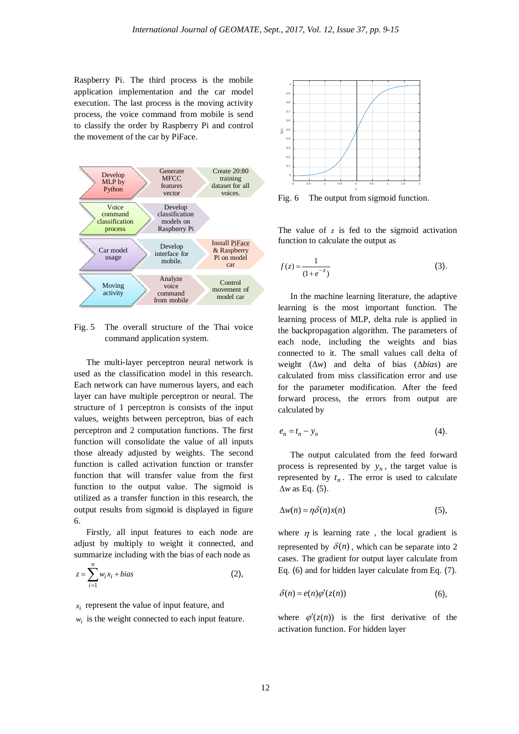Raspberry Pi. The third process is the mobile application implementation and the car model execution. The last process is the moving activity process, the voice command from mobile is send to classify the order by Raspberry Pi and control the movement of the car by PiFace.



Fig. 5 The overall structure of the Thai voice command application system.

The multi-layer perceptron neural network is used as the classification model in this research. Each network can have numerous layers, and each layer can have multiple perceptron or neural. The structure of 1 perceptron is consists of the input values, weights between perceptron, bias of each perceptron and 2 computation functions. The first function will consolidate the value of all inputs those already adjusted by weights. The second function is called activation function or transfer function that will transfer value from the first function to the output value. The sigmoid is utilized as a transfer function in this research, the output results from sigmoid is displayed in figure 6.

Firstly, all input features to each node are adjust by multiply to weight it connected, and summarize including with the bias of each node as

$$
z = \sum_{i=1}^{n} w_i x_i + bias \qquad (2),
$$

 $x_i$  represent the value of input feature, and

 $w_i$  is the weight connected to each input feature.



Fig. 6 The output from sigmoid function.

The value of  $z$  is fed to the sigmoid activation function to calculate the output as

$$
f(z) = \frac{1}{(1 + e^{-z})}
$$
 (3).

In the machine learning literature, the adaptive learning is the most important function. The learning process of MLP, delta rule is applied in the backpropagation algorithm. The parameters of each node, including the weights and bias connected to it. The small values call delta of weight (∆*w*) and delta of bias (∆*bias*) are calculated from miss classification error and use for the parameter modification. After the feed forward process, the errors from output are calculated by

$$
e_n = t_n - y_n \tag{4}
$$

The output calculated from the feed forward process is represented by  $y_n$ , the target value is represented by  $t_n$ . The error is used to calculate ∆*w* as Eq. (5).

$$
\Delta w(n) = \eta \delta(n) x(n) \tag{5},
$$

where  $\eta$  is learning rate, the local gradient is represented by  $\delta(n)$ , which can be separate into 2 cases. The gradient for output layer calculate from Eq. (6) and for hidden layer calculate from Eq. (7).

$$
\delta(n) = e(n)\varphi'(z(n))\tag{6},
$$

where  $\varphi'(z(n))$  is the first derivative of the activation function. For hidden layer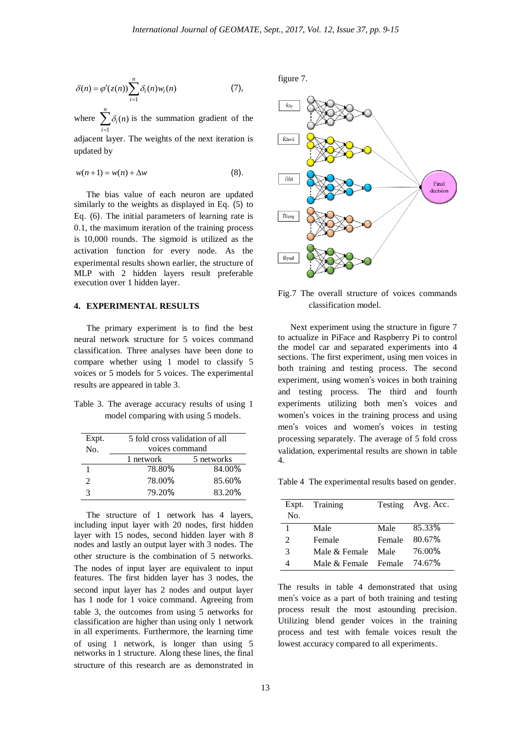$$
\delta(n) = \varphi'(z(n)) \sum_{i=1}^{n} \delta_i(n) w_i(n) \tag{7},
$$

where  $\sum_{i=1}^{n}$ *i*  $\delta_i(n)$  is the summation gradient of the 1

adjacent layer. The weights of the next iteration is updated by

$$
w(n+1) = w(n) + \Delta w \tag{8}.
$$

The bias value of each neuron are updated similarly to the weights as displayed in Eq. (5) to Eq. (6). The initial parameters of learning rate is 0.1, the maximum iteration of the training process is 10,000 rounds. The sigmoid is utilized as the activation function for every node. As the experimental results shown earlier, the structure of MLP with 2 hidden layers result preferable execution over 1 hidden layer.

## **4. EXPERIMENTAL RESULTS**

The primary experiment is to find the best neural network structure for 5 voices command classification. Three analyses have been done to compare whether using 1 model to classify 5 voices or 5 models for 5 voices. The experimental results are appeared in table 3.

Table 3. The average accuracy results of using 1 model comparing with using 5 models.

| Expt.<br>No.   |           | 5 fold cross validation of all<br>voices command |  |  |  |
|----------------|-----------|--------------------------------------------------|--|--|--|
|                | 1 network | 5 networks                                       |  |  |  |
|                |           |                                                  |  |  |  |
|                | 78.80%    | 84.00%                                           |  |  |  |
| $\mathfrak{D}$ | 78.00%    | 85.60%                                           |  |  |  |
| 3              | 79.20%    | 83.20%                                           |  |  |  |

The structure of 1 network has 4 layers, including input layer with 20 nodes, first hidden layer with 15 nodes, second hidden layer with 8 nodes and lastly an output layer with 3 nodes. The other structure is the combination of 5 networks. The nodes of input layer are equivalent to input features. The first hidden layer has 3 nodes, the second input layer has 2 nodes and output layer has 1 node for 1 voice command. Agreeing from table 3, the outcomes from using 5 networks for classification are higher than using only 1 network in all experiments. Furthermore, the learning time of using 1 network, is longer than using 5 networks in 1 structure. Along these lines, the final structure of this research are as demonstrated in figure 7.



Fig.7 The overall structure of voices commands classification model.

Next experiment using the structure in figure 7 to actualize in PiFace and Raspberry Pi to control the model car and separated experiments into 4 sections. The first experiment, using men voices in both training and testing process. The second experiment, using women's voices in both training and testing process. The third and fourth experiments utilizing both men's voices and women's voices in the training process and using men's voices and women's voices in testing processing separately. The average of 5 fold cross validation, experimental results are shown in table 4.

Table 4 The experimental results based on gender.

| Expt.          | Training      |          | Testing Avg. Acc. |
|----------------|---------------|----------|-------------------|
| No.            |               |          |                   |
| 1              | Male          | Male     | 85.33%            |
| $\mathfrak{D}$ | Female        | Female   | 80.67%            |
| 3              | Male & Female | Male     | 76.00%            |
|                | Male & Female | – Female | 74.67%            |

The results in table 4 demonstrated that using men's voice as a part of both training and testing process result the most astounding precision. Utilizing blend gender voices in the training process and test with female voices result the lowest accuracy compared to all experiments.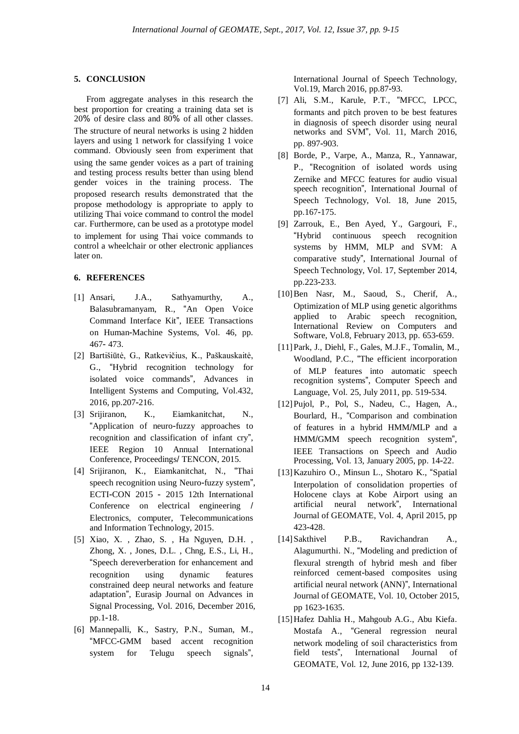#### **5. CONCLUSION**

From aggregate analyses in this research the best proportion for creating a training data set is 20% of desire class and 80% of all other classes.

The structure of neural networks is using 2 hidden layers and using 1 network for classifying 1 voice command. Obviously seen from experiment that

using the same gender voices as a part of training and testing process results better than using blend gender voices in the training process. The proposed research results demonstrated that the propose methodology is appropriate to apply to utilizing Thai voice command to control the model car. Furthermore, can be used as a prototype model

to implement for using Thai voice commands to control a wheelchair or other electronic appliances later on.

## **6. REFERENCES**

- [1] Ansari, J.A., Sathyamurthy, A., Balasubramanyam, R., "An Open Voice Command Interface Kit", IEEE Transactions on Human-Machine Systems, Vol. 46, pp. 467- 473.
- [2] Bartišiūtė, G., Ratkevičius, K., Paškauskaitė, G., "Hybrid recognition technology for isolated voice commands", Advances in Intelligent Systems and Computing, Vol.432, 2016, pp.207-216.
- [3] Srijiranon, K., Eiamkanitchat, N., "Application of neuro-fuzzy approaches to recognition and classification of infant cry", IEEE Region 10 Annual International Conference, Proceedings/ TENCON, 2015.
- [4] Srijiranon, K., Eiamkanitchat, N., "Thai speech recognition using Neuro-fuzzy system", ECTI-CON 2015 - 2015 12th International Conference on electrical engineering / Electronics, computer, Telecommunications and Information Technology, 2015.
- [5] Xiao, X. , Zhao, S. , Ha Nguyen, D.H. , Zhong, X. , Jones, D.L. , Chng, E.S., Li, H., "Speech dereverberation for enhancement and recognition using dynamic features constrained deep neural networks and feature adaptation", Eurasip Journal on Advances in Signal Processing, Vol. 2016, December 2016, pp.1-18.
- [6] Mannepalli, K., Sastry, P.N., Suman, M., "MFCC-GMM based accent recognition system for Telugu speech signals",

International Journal of Speech Technology, Vol.19, March 2016, pp.87-93.

- [7] Ali, S.M., Karule, P.T., "MFCC, LPCC, formants and pitch proven to be best features in diagnosis of speech disorder using neural networks and SVM", Vol. 11, March 2016, pp. 897-903.
- [8] Borde, P., Varpe, A., Manza, R., Yannawar, P., "Recognition of isolated words using Zernike and MFCC features for audio visual speech recognition", International Journal of Speech Technology, Vol. 18, June 2015, pp.167-175.
- [9] Zarrouk, E., Ben Ayed, Y., Gargouri, F., "Hybrid continuous speech recognition systems by HMM, MLP and SVM: A comparative study", International Journal of Speech Technology, Vol. 17, September 2014, pp.223-233.
- [10]Ben Nasr, M., Saoud, S., Cherif, A., Optimization of MLP using genetic algorithms applied to Arabic speech recognition, International Review on Computers and Software, Vol.8, February 2013, pp. 653-659.
- [11]Park, J., Diehl, F., Gales, M.J.F., Tomalin, M., Woodland, P.C., "The efficient incorporation of MLP features into automatic speech recognition systems", Computer Speech and Language, Vol. 25, July 2011, pp. 519-534.
- [12]Pujol, P., Pol, S., Nadeu, C., Hagen, A., Bourlard, H., "Comparison and combination of features in a hybrid HMM/MLP and a HMM/GMM speech recognition system", IEEE Transactions on Speech and Audio Processing, Vol. 13, January 2005, pp. 14-22.
- [13]Kazuhiro O., Minsun L., Shotaro K., "Spatial Interpolation of consolidation properties of Holocene clays at Kobe Airport using an artificial neural network", International Journal of GEOMATE, Vol. 4, April 2015, pp 423-428.
- [14]Sakthivel P.B., Ravichandran A., Alagumurthi. N., "Modeling and prediction of flexural strength of hybrid mesh and fiber reinforced cement-based composites using artificial neural network (ANN)", International Journal of GEOMATE, Vol. 10, October 2015, pp 1623-1635.
- [15]Hafez Dahlia H., Mahgoub A.G., Abu Kiefa. Mostafa A., "General regression neural network modeling of soil characteristics from field tests", International Journal of GEOMATE, Vol. 12, June 2016, pp 132-139.